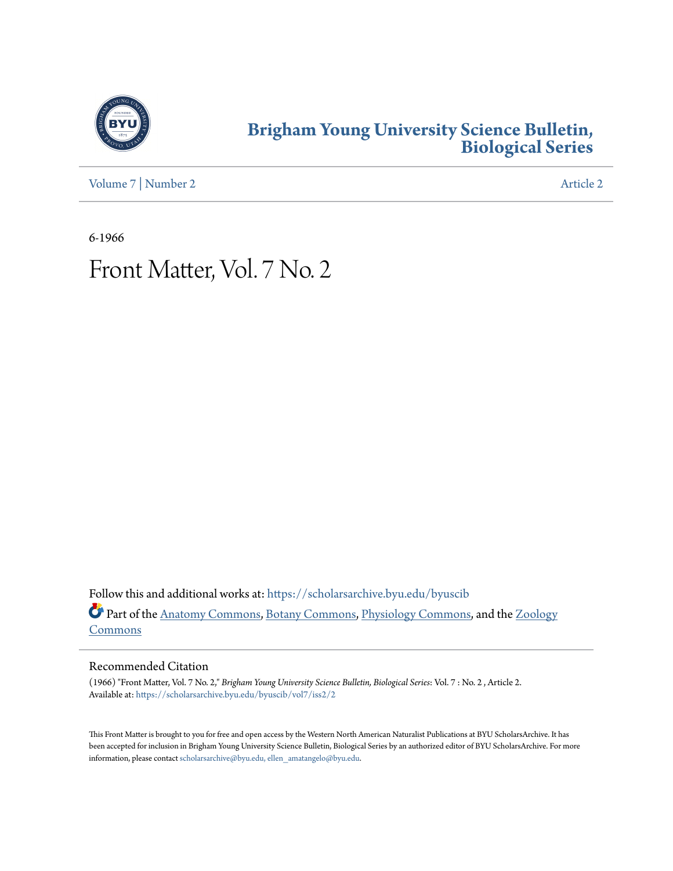

### **[Brigham Young University Science Bulletin,](https://scholarsarchive.byu.edu/byuscib?utm_source=scholarsarchive.byu.edu%2Fbyuscib%2Fvol7%2Fiss2%2F2&utm_medium=PDF&utm_campaign=PDFCoverPages) [Biological Series](https://scholarsarchive.byu.edu/byuscib?utm_source=scholarsarchive.byu.edu%2Fbyuscib%2Fvol7%2Fiss2%2F2&utm_medium=PDF&utm_campaign=PDFCoverPages)**

[Volume 7](https://scholarsarchive.byu.edu/byuscib/vol7?utm_source=scholarsarchive.byu.edu%2Fbyuscib%2Fvol7%2Fiss2%2F2&utm_medium=PDF&utm_campaign=PDFCoverPages) | [Number 2](https://scholarsarchive.byu.edu/byuscib/vol7/iss2?utm_source=scholarsarchive.byu.edu%2Fbyuscib%2Fvol7%2Fiss2%2F2&utm_medium=PDF&utm_campaign=PDFCoverPages) [Article 2](https://scholarsarchive.byu.edu/byuscib/vol7/iss2/2?utm_source=scholarsarchive.byu.edu%2Fbyuscib%2Fvol7%2Fiss2%2F2&utm_medium=PDF&utm_campaign=PDFCoverPages)

6-1966

# Front Matter, Vol. 7 No. 2

Follow this and additional works at: [https://scholarsarchive.byu.edu/byuscib](https://scholarsarchive.byu.edu/byuscib?utm_source=scholarsarchive.byu.edu%2Fbyuscib%2Fvol7%2Fiss2%2F2&utm_medium=PDF&utm_campaign=PDFCoverPages) Part of the [Anatomy Commons](http://network.bepress.com/hgg/discipline/903?utm_source=scholarsarchive.byu.edu%2Fbyuscib%2Fvol7%2Fiss2%2F2&utm_medium=PDF&utm_campaign=PDFCoverPages), [Botany Commons](http://network.bepress.com/hgg/discipline/104?utm_source=scholarsarchive.byu.edu%2Fbyuscib%2Fvol7%2Fiss2%2F2&utm_medium=PDF&utm_campaign=PDFCoverPages), [Physiology Commons,](http://network.bepress.com/hgg/discipline/69?utm_source=scholarsarchive.byu.edu%2Fbyuscib%2Fvol7%2Fiss2%2F2&utm_medium=PDF&utm_campaign=PDFCoverPages) and the [Zoology](http://network.bepress.com/hgg/discipline/81?utm_source=scholarsarchive.byu.edu%2Fbyuscib%2Fvol7%2Fiss2%2F2&utm_medium=PDF&utm_campaign=PDFCoverPages) [Commons](http://network.bepress.com/hgg/discipline/81?utm_source=scholarsarchive.byu.edu%2Fbyuscib%2Fvol7%2Fiss2%2F2&utm_medium=PDF&utm_campaign=PDFCoverPages)

#### Recommended Citation

(1966) "Front Matter, Vol. 7 No. 2," *Brigham Young University Science Bulletin, Biological Series*: Vol. 7 : No. 2 , Article 2. Available at: [https://scholarsarchive.byu.edu/byuscib/vol7/iss2/2](https://scholarsarchive.byu.edu/byuscib/vol7/iss2/2?utm_source=scholarsarchive.byu.edu%2Fbyuscib%2Fvol7%2Fiss2%2F2&utm_medium=PDF&utm_campaign=PDFCoverPages)

This Front Matter is brought to you for free and open access by the Western North American Naturalist Publications at BYU ScholarsArchive. It has been accepted for inclusion in Brigham Young University Science Bulletin, Biological Series by an authorized editor of BYU ScholarsArchive. For more information, please contact [scholarsarchive@byu.edu, ellen\\_amatangelo@byu.edu](mailto:scholarsarchive@byu.edu,%20ellen_amatangelo@byu.edu).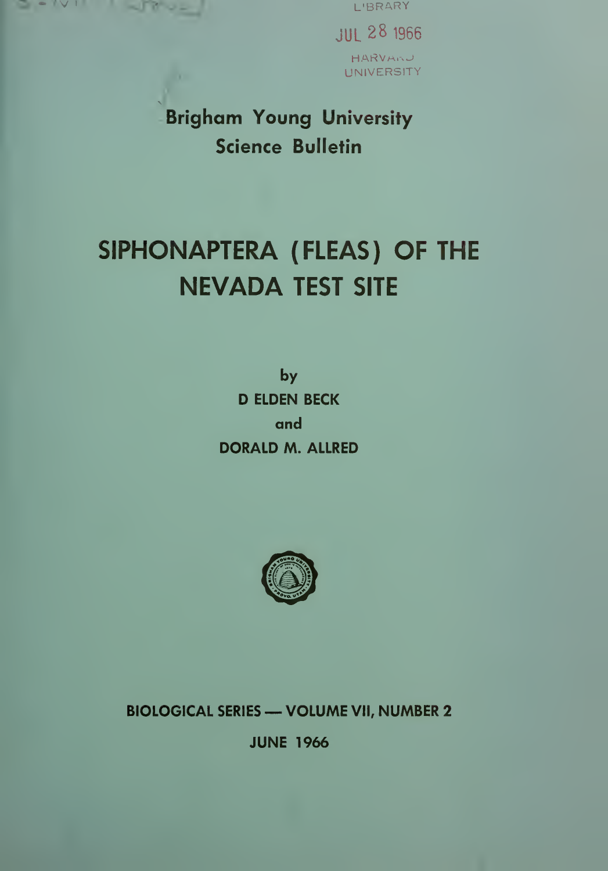

JUL 28 <sup>1966</sup> HARVARU UNIVERSITY

Brigham Young University Science Bulletin

## SIPHONAPTERA (FLEAS) OF THE NEVADA TEST SITE

by D ELDEN BECK and DORALD M. ALLRED



BIOLOGICAL SERIES —VOLUME VII, NUMBER <sup>2</sup>

JUNE 1966